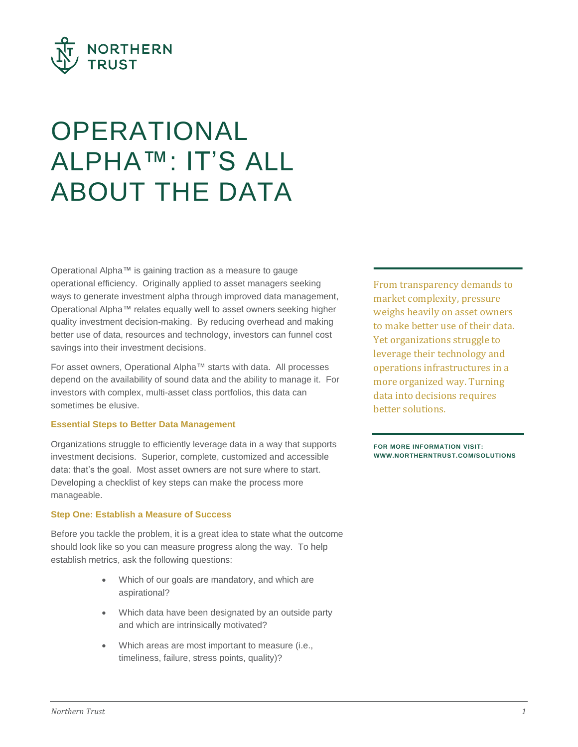

# **OPERATIONAL** ALPHA™: IT'S ALL ABOUT THE DATA

Operational Alpha™ is gaining traction as a measure to gauge operational efficiency. Originally applied to asset managers seeking ways to generate investment alpha through improved data management, Operational Alpha™ relates equally well to asset owners seeking higher quality investment decision-making. By reducing overhead and making better use of data, resources and technology, investors can funnel cost savings into their investment decisions.

For asset owners, Operational Alpha™ starts with data. All processes depend on the availability of sound data and the ability to manage it. For investors with complex, multi-asset class portfolios, this data can sometimes be elusive.

## **Essential Steps to Better Data Management**

Organizations struggle to efficiently leverage data in a way that supports investment decisions. Superior, complete, customized and accessible data: that's the goal. Most asset owners are not sure where to start. Developing a checklist of key steps can make the process more manageable.

## **Step One: Establish a Measure of Success**

Before you tackle the problem, it is a great idea to state what the outcome should look like so you can measure progress along the way. To help establish metrics, ask the following questions:

- Which of our goals are mandatory, and which are aspirational?
- Which data have been designated by an outside party and which are intrinsically motivated?
- Which areas are most important to measure (i.e., timeliness, failure, stress points, quality)?

From transparency demands to market complexity, pressure weighs heavily on asset owners to make better use of their data. Yet organizations struggle to leverage their technology and operations infrastructures in a more organized way. Turning data into decisions requires better solutions.

**FOR MORE INFORMATION VISIT: WWW.NORTHERNTRUST.COM/SOLUTIONS**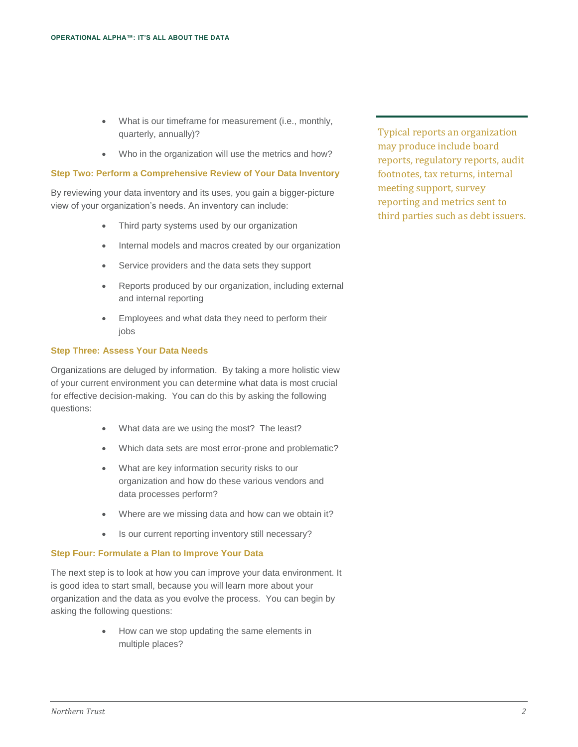- What is our timeframe for measurement (i.e., monthly, quarterly, annually)?
- Who in the organization will use the metrics and how?

## **Step Two: Perform a Comprehensive Review of Your Data Inventory**

By reviewing your data inventory and its uses, you gain a bigger-picture view of your organization's needs. An inventory can include:

- Third party systems used by our organization
- Internal models and macros created by our organization
- Service providers and the data sets they support
- Reports produced by our organization, including external and internal reporting
- Employees and what data they need to perform their iobs

## **Step Three: Assess Your Data Needs**

Organizations are deluged by information. By taking a more holistic view of your current environment you can determine what data is most crucial for effective decision-making. You can do this by asking the following questions:

- What data are we using the most? The least?
- Which data sets are most error-prone and problematic?
- What are key information security risks to our organization and how do these various vendors and data processes perform?
- Where are we missing data and how can we obtain it?
- Is our current reporting inventory still necessary?

## **Step Four: Formulate a Plan to Improve Your Data**

The next step is to look at how you can improve your data environment. It is good idea to start small, because you will learn more about your organization and the data as you evolve the process. You can begin by asking the following questions:

> How can we stop updating the same elements in multiple places?

Typical reports an organization may produce include board reports, regulatory reports, audit footnotes, tax returns, internal meeting support, survey reporting and metrics sent to third parties such as debt issuers.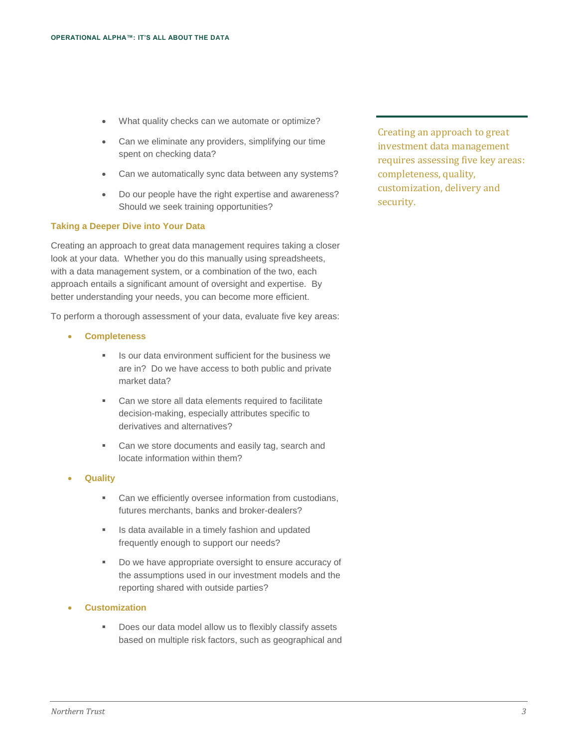- What quality checks can we automate or optimize?
- Can we eliminate any providers, simplifying our time spent on checking data?
- Can we automatically sync data between any systems?
- Do our people have the right expertise and awareness? Should we seek training opportunities?

#### **Taking a Deeper Dive into Your Data**

Creating an approach to great data management requires taking a closer look at your data. Whether you do this manually using spreadsheets, with a data management system, or a combination of the two, each approach entails a significant amount of oversight and expertise. By better understanding your needs, you can become more efficient.

To perform a thorough assessment of your data, evaluate five key areas:

- **Completeness**
	- Is our data environment sufficient for the business we are in? Do we have access to both public and private market data?
	- **Can we store all data elements required to facilitate** decision-making, especially attributes specific to derivatives and alternatives?
	- **Can we store documents and easily tag, search and** locate information within them?
- **Quality**
	- **Can we efficiently oversee information from custodians,** futures merchants, banks and broker-dealers?
	- **If** Is data available in a timely fashion and updated frequently enough to support our needs?
	- Do we have appropriate oversight to ensure accuracy of the assumptions used in our investment models and the reporting shared with outside parties?
- **Customization**
	- Does our data model allow us to flexibly classify assets based on multiple risk factors, such as geographical and

Creating an approach to great investment data management requires assessing five key areas: completeness, quality, customization, delivery and security.